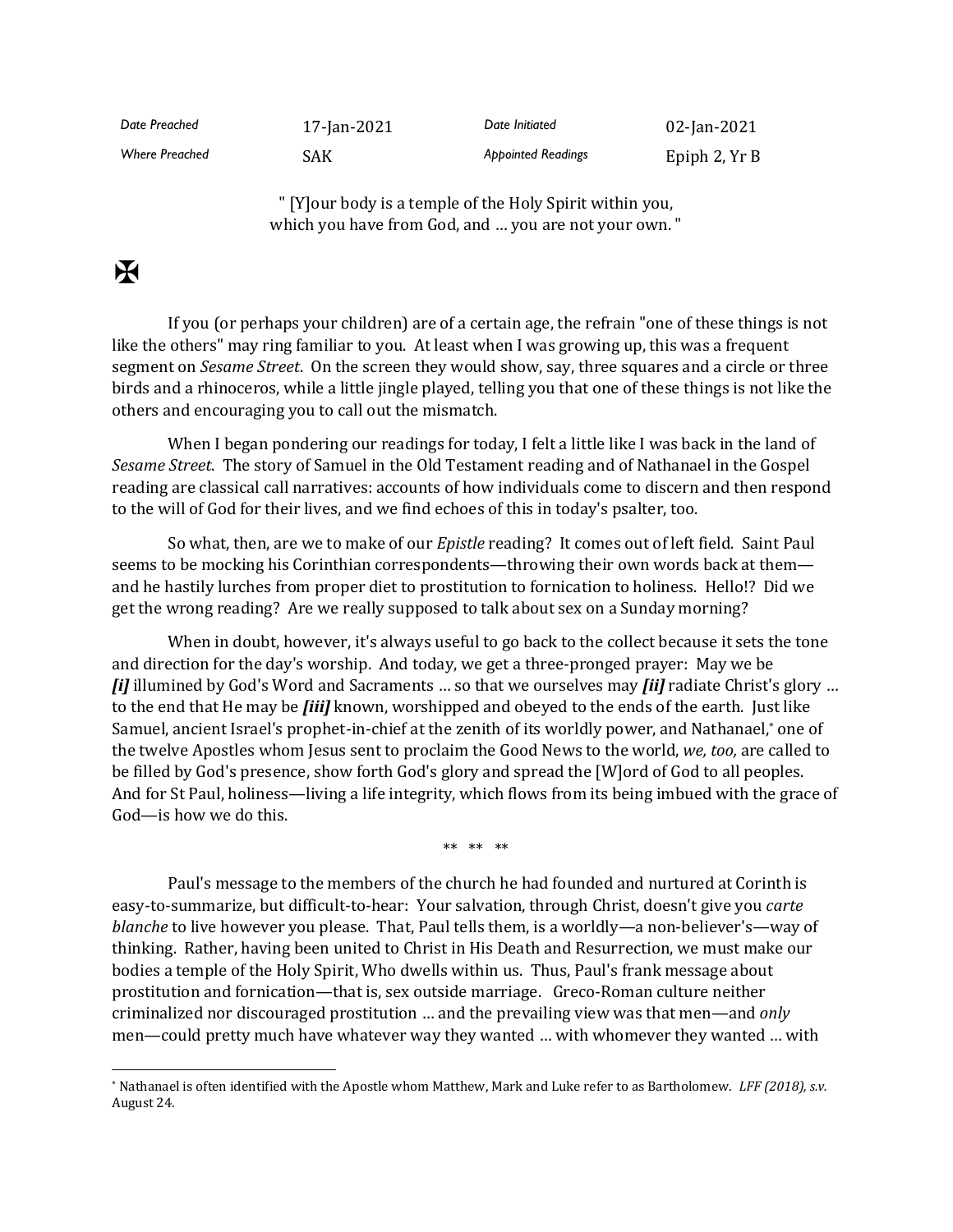| Date Preached         | 17-Jan-2021 | Date Initiated            | 02-Jan-2021   |
|-----------------------|-------------|---------------------------|---------------|
| <b>Where Preached</b> | SAK         | <b>Appointed Readings</b> | Epiph 2, Yr B |

" [Y]our body is a temple of the Holy Spirit within you, which you have from God, and … you are not your own. "

## $\mathbf F$

If you (or perhaps your children) are of a certain age, the refrain "one of these things is not like the others" may ring familiar to you. At least when I was growing up, this was a frequent segment on *Sesame Street*. On the screen they would show, say, three squares and a circle or three birds and a rhinoceros, while a little jingle played, telling you that one of these things is not like the others and encouraging you to call out the mismatch.

When I began pondering our readings for today, I felt a little like I was back in the land of *Sesame Street*. The story of Samuel in the Old Testament reading and of Nathanael in the Gospel reading are classical call narratives: accounts of how individuals come to discern and then respond to the will of God for their lives, and we find echoes of this in today's psalter, too.

So what, then, are we to make of our *Epistle* reading? It comes out of left field. Saint Paul seems to be mocking his Corinthian correspondents—throwing their own words back at them and he hastily lurches from proper diet to prostitution to fornication to holiness. Hello!? Did we get the wrong reading? Are we really supposed to talk about sex on a Sunday morning?

When in doubt, however, it's always useful to go back to the collect because it sets the tone and direction for the day's worship. And today, we get a three-pronged prayer: May we be *[i]* illumined by God's Word and Sacraments … so that we ourselves may *[ii]* radiate Christ's glory … to the end that He may be *[iii]* known, worshipped and obeyed to the ends of the earth. Just like Samuel, ancient Israel's prophet-in-chief at the zenith of its worldly power, and Nathanael,\* one of the twelve Apostles whom Jesus sent to proclaim the Good News to the world, *we, too,* are called to be filled by God's presence, show forth God's glory and spread the [W]ord of God to all peoples. And for St Paul, holiness—living a life integrity, which flows from its being imbued with the grace of God—is how we do this.

\*\* \*\* \*\*

Paul's message to the members of the church he had founded and nurtured at Corinth is easy-to-summarize, but difficult-to-hear: Your salvation, through Christ, doesn't give you *carte blanche* to live however you please. That, Paul tells them, is a worldly—a non-believer's—way of thinking. Rather, having been united to Christ in His Death and Resurrection, we must make our bodies a temple of the Holy Spirit, Who dwells within us. Thus, Paul's frank message about prostitution and fornication—that is, sex outside marriage. Greco-Roman culture neither criminalized nor discouraged prostitution … and the prevailing view was that men—and *only* men—could pretty much have whatever way they wanted … with whomever they wanted … with

<sup>\*</sup> Nathanael is often identified with the Apostle whom Matthew, Mark and Luke refer to as Bartholomew. *LFF (2018), s.v.* August 24.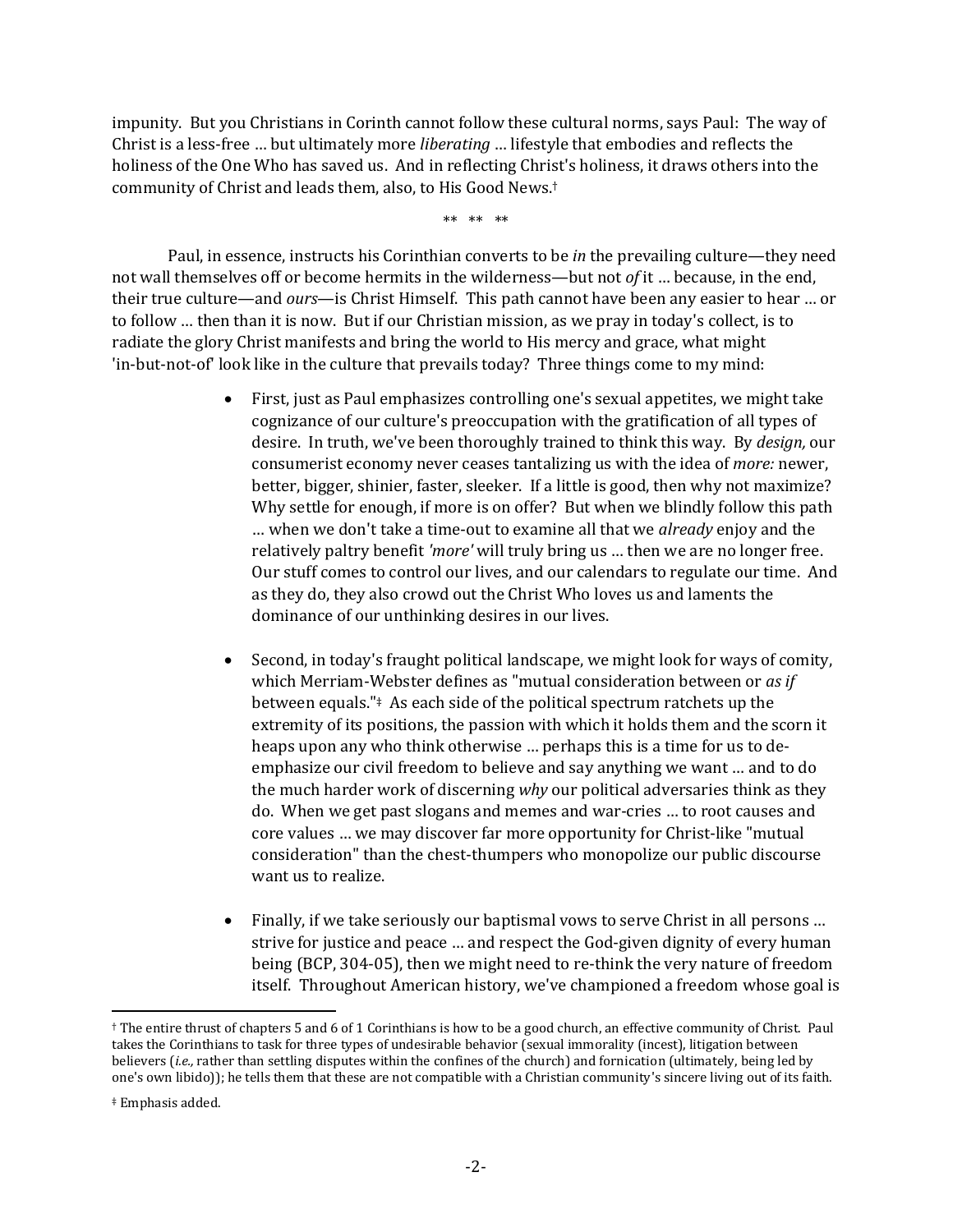impunity. But you Christians in Corinth cannot follow these cultural norms, says Paul: The way of Christ is a less-free … but ultimately more *liberating* … lifestyle that embodies and reflects the holiness of the One Who has saved us. And in reflecting Christ's holiness, it draws others into the community of Christ and leads them, also, to His Good News.†

\*\* \*\* \*\*

Paul, in essence, instructs his Corinthian converts to be *in* the prevailing culture—they need not wall themselves off or become hermits in the wilderness—but not *of* it … because, in the end, their true culture—and *ours*—is Christ Himself. This path cannot have been any easier to hear … or to follow … then than it is now. But if our Christian mission, as we pray in today's collect, is to radiate the glory Christ manifests and bring the world to His mercy and grace, what might 'in-but-not-of' look like in the culture that prevails today? Three things come to my mind:

- First, just as Paul emphasizes controlling one's sexual appetites, we might take cognizance of our culture's preoccupation with the gratification of all types of desire. In truth, we've been thoroughly trained to think this way. By *design,* our consumerist economy never ceases tantalizing us with the idea of *more:* newer, better, bigger, shinier, faster, sleeker. If a little is good, then why not maximize? Why settle for enough, if more is on offer? But when we blindly follow this path … when we don't take a time-out to examine all that we *already* enjoy and the relatively paltry benefit *'more'* will truly bring us … then we are no longer free. Our stuff comes to control our lives, and our calendars to regulate our time. And as they do, they also crowd out the Christ Who loves us and laments the dominance of our unthinking desires in our lives.
- Second, in today's fraught political landscape, we might look for ways of comity, which Merriam-Webster defines as "mutual consideration between or *as if* between equals."‡ As each side of the political spectrum ratchets up the extremity of its positions, the passion with which it holds them and the scorn it heaps upon any who think otherwise … perhaps this is a time for us to deemphasize our civil freedom to believe and say anything we want … and to do the much harder work of discerning *why* our political adversaries think as they do. When we get past slogans and memes and war-cries … to root causes and core values … we may discover far more opportunity for Christ-like "mutual consideration" than the chest-thumpers who monopolize our public discourse want us to realize.
- Finally, if we take seriously our baptismal vows to serve Christ in all persons … strive for justice and peace … and respect the God-given dignity of every human being (BCP, 304-05), then we might need to re-think the very nature of freedom itself. Throughout American history, we've championed a freedom whose goal is

<sup>†</sup> The entire thrust of chapters 5 and 6 of 1 Corinthians is how to be a good church, an effective community of Christ. Paul takes the Corinthians to task for three types of undesirable behavior (sexual immorality (incest), litigation between believers (*i.e.,* rather than settling disputes within the confines of the church) and fornication (ultimately, being led by one's own libido)); he tells them that these are not compatible with a Christian community's sincere living out of its faith.

<sup>‡</sup> Emphasis added.